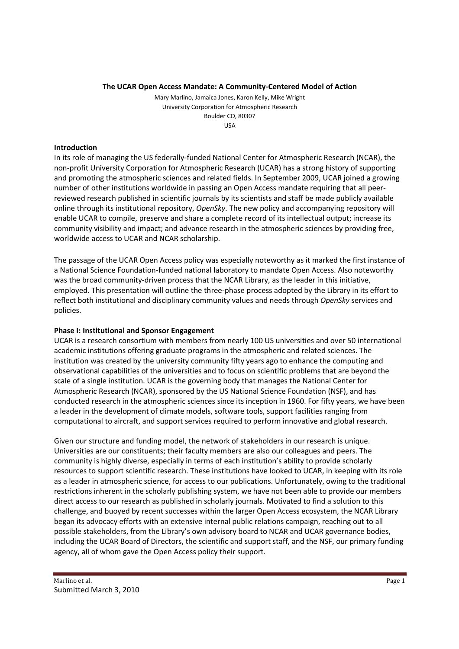#### **The UCAR Open Access Mandate: A Community-Centered Model of Action**

Mary Marlino, Jamaica Jones, Karon Kelly, Mike Wright University Corporation for Atmospheric Research Boulder CO, 80307 USA

#### **Introduction**

In its role of managing the US federally-funded National Center for Atmospheric Research (NCAR), the non-profit University Corporation for Atmospheric Research (UCAR) has a strong history of supporting and promoting the atmospheric sciences and related fields. In September 2009, UCAR joined a growing number of other institutions worldwide in passing an Open Access mandate requiring that all peerreviewed research published in scientific journals by its scientists and staff be made publicly available online through its institutional repository, *OpenSky*. The new policy and accompanying repository will enable UCAR to compile, preserve and share a complete record of its intellectual output; increase its community visibility and impact; and advance research in the atmospheric sciences by providing free, worldwide access to UCAR and NCAR scholarship.

The passage of the UCAR Open Access policy was especially noteworthy as it marked the first instance of a National Science Foundation-funded national laboratory to mandate Open Access. Also noteworthy was the broad community-driven process that the NCAR Library, as the leader in this initiative, employed. This presentation will outline the three-phase process adopted by the Library in its effort to reflect both institutional and disciplinary community values and needs through *OpenSky* services and policies.

## **Phase I: Institutional and Sponsor Engagement**

UCAR is a research consortium with members from nearly 100 US universities and over 50 international academic institutions offering graduate programs in the atmospheric and related sciences. The institution was created by the university community fifty years ago to enhance the computing and observational capabilities of the universities and to focus on scientific problems that are beyond the scale of a single institution. UCAR is the governing body that manages the National Center for Atmospheric Research (NCAR), sponsored by the US National Science Foundation (NSF), and has conducted research in the atmospheric sciences since its inception in 1960. For fifty years, we have been a leader in the development of climate models, software tools, support facilities ranging from computational to aircraft, and support services required to perform innovative and global research.

Given our structure and funding model, the network of stakeholders in our research is unique. Universities are our constituents; their faculty members are also our colleagues and peers. The community is highly diverse, especially in terms of each institution's ability to provide scholarly resources to support scientific research. These institutions have looked to UCAR, in keeping with its role as a leader in atmospheric science, for access to our publications. Unfortunately, owing to the traditional restrictions inherent in the scholarly publishing system, we have not been able to provide our members direct access to our research as published in scholarly journals. Motivated to find a solution to this challenge, and buoyed by recent successes within the larger Open Access ecosystem, the NCAR Library began its advocacy efforts with an extensive internal public relations campaign, reaching out to all possible stakeholders, from the Library's own advisory board to NCAR and UCAR governance bodies, including the UCAR Board of Directors, the scientific and support staff, and the NSF, our primary funding agency, all of whom gave the Open Access policy their support.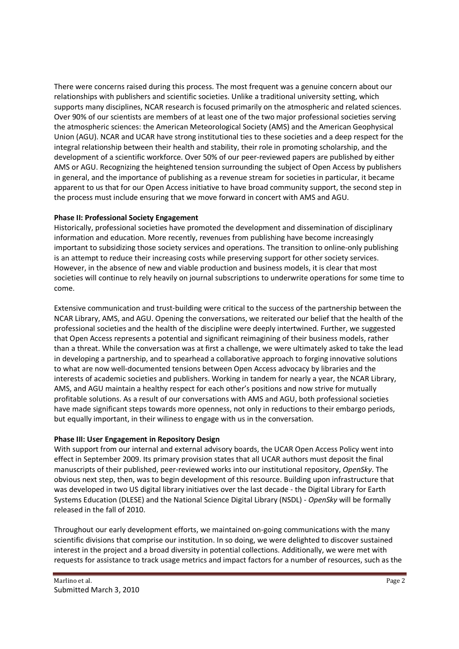There were concerns raised during this process. The most frequent was a genuine concern about our relationships with publishers and scientific societies. Unlike a traditional university setting, which supports many disciplines, NCAR research is focused primarily on the atmospheric and related sciences. Over 90% of our scientists are members of at least one of the two major professional societies serving the atmospheric sciences: the American Meteorological Society (AMS) and the American Geophysical Union (AGU). NCAR and UCAR have strong institutional ties to these societies and a deep respect for the integral relationship between their health and stability, their role in promoting scholarship, and the development of a scientific workforce. Over 50% of our peer-reviewed papers are published by either AMS or AGU. Recognizing the heightened tension surrounding the subject of Open Access by publishers in general, and the importance of publishing as a revenue stream for societies in particular, it became apparent to us that for our Open Access initiative to have broad community support, the second step in the process must include ensuring that we move forward in concert with AMS and AGU.

## **Phase II: Professional Society Engagement**

Historically, professional societies have promoted the development and dissemination of disciplinary information and education. More recently, revenues from publishing have become increasingly important to subsidizing those society services and operations. The transition to online-only publishing is an attempt to reduce their increasing costs while preserving support for other society services. However, in the absence of new and viable production and business models, it is clear that most societies will continue to rely heavily on journal subscriptions to underwrite operations for some time to come.

Extensive communication and trust-building were critical to the success of the partnership between the NCAR Library, AMS, and AGU. Opening the conversations, we reiterated our belief that the health of the professional societies and the health of the discipline were deeply intertwined. Further, we suggested that Open Access represents a potential and significant reimagining of their business models, rather than a threat. While the conversation was at first a challenge, we were ultimately asked to take the lead in developing a partnership, and to spearhead a collaborative approach to forging innovative solutions to what are now well-documented tensions between Open Access advocacy by libraries and the interests of academic societies and publishers. Working in tandem for nearly a year, the NCAR Library, AMS, and AGU maintain a healthy respect for each other's positions and now strive for mutually profitable solutions. As a result of our conversations with AMS and AGU, both professional societies have made significant steps towards more openness, not only in reductions to their embargo periods, but equally important, in their wiliness to engage with us in the conversation.

## **Phase III: User Engagement in Repository Design**

With support from our internal and external advisory boards, the UCAR Open Access Policy went into effect in September 2009. Its primary provision states that all UCAR authors must deposit the final manuscripts of their published, peer-reviewed works into our institutional repository, *OpenSky*. The obvious next step, then, was to begin development of this resource. Building upon infrastructure that was developed in two US digital library initiatives over the last decade - the Digital Library for Earth Systems Education (DLESE) and the National Science Digital Library (NSDL) - *OpenSky* will be formally released in the fall of 2010.

Throughout our early development efforts, we maintained on-going communications with the many scientific divisions that comprise our institution. In so doing, we were delighted to discover sustained interest in the project and a broad diversity in potential collections. Additionally, we were met with requests for assistance to track usage metrics and impact factors for a number of resources, such as the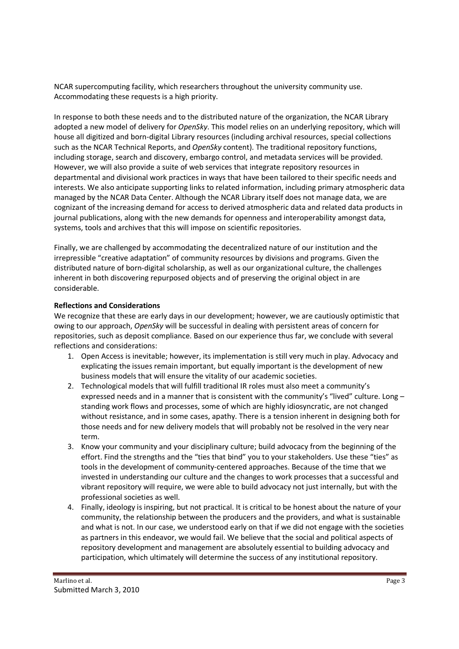NCAR supercomputing facility, which researchers throughout the university community use. Accommodating these requests is a high priority.

In response to both these needs and to the distributed nature of the organization, the NCAR Library adopted a new model of delivery for *OpenSky*. This model relies on an underlying repository, which will house all digitized and born-digital Library resources (including archival resources, special collections such as the NCAR Technical Reports, and *OpenSky* content). The traditional repository functions, including storage, search and discovery, embargo control, and metadata services will be provided. However, we will also provide a suite of web services that integrate repository resources in departmental and divisional work practices in ways that have been tailored to their specific needs and interests. We also anticipate supporting links to related information, including primary atmospheric data managed by the NCAR Data Center. Although the NCAR Library itself does not manage data, we are cognizant of the increasing demand for access to derived atmospheric data and related data products in journal publications, along with the new demands for openness and interoperability amongst data, systems, tools and archives that this will impose on scientific repositories.

Finally, we are challenged by accommodating the decentralized nature of our institution and the irrepressible "creative adaptation" of community resources by divisions and programs. Given the distributed nature of born-digital scholarship, as well as our organizational culture, the challenges inherent in both discovering repurposed objects and of preserving the original object in are considerable.

# **Reflections and Considerations**

We recognize that these are early days in our development; however, we are cautiously optimistic that owing to our approach, *OpenSky* will be successful in dealing with persistent areas of concern for repositories, such as deposit compliance. Based on our experience thus far, we conclude with several reflections and considerations:

- 1. Open Access is inevitable; however, its implementation is still very much in play. Advocacy and explicating the issues remain important, but equally important is the development of new business models that will ensure the vitality of our academic societies.
- 2. Technological models that will fulfill traditional IR roles must also meet a community's expressed needs and in a manner that is consistent with the community's "lived" culture. Long standing work flows and processes, some of which are highly idiosyncratic, are not changed without resistance, and in some cases, apathy. There is a tension inherent in designing both for those needs and for new delivery models that will probably not be resolved in the very near term.
- 3. Know your community and your disciplinary culture; build advocacy from the beginning of the effort. Find the strengths and the "ties that bind" you to your stakeholders. Use these "ties" as tools in the development of community-centered approaches. Because of the time that we invested in understanding our culture and the changes to work processes that a successful and vibrant repository will require, we were able to build advocacy not just internally, but with the professional societies as well.
- 4. Finally, ideology is inspiring, but not practical. It is critical to be honest about the nature of your community, the relationship between the producers and the providers, and what is sustainable and what is not. In our case, we understood early on that if we did not engage with the societies as partners in this endeavor, we would fail. We believe that the social and political aspects of repository development and management are absolutely essential to building advocacy and participation, which ultimately will determine the success of any institutional repository.